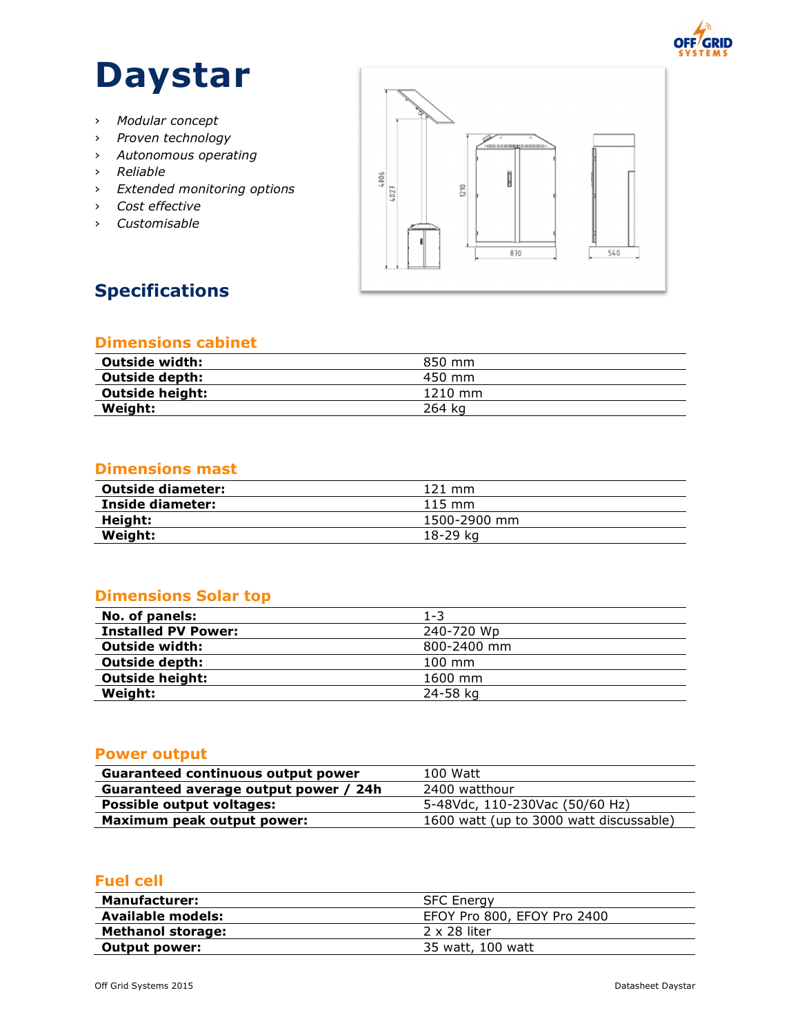

# **Daystar**

- › *Modular concept*
- › *Proven technology*
- › *Autonomous operating*
- › *Reliable*
- › *Extended monitoring options*
- › *Cost effective*
- › *Customisable*



# **Specifications**

## **Dimensions cabinet**

| 850 mm    |
|-----------|
| 450 mm    |
| $1210$ mm |
|           |
|           |

# **Dimensions mast**

| <b>Outside diameter:</b> | $121 \text{ mm}$ |
|--------------------------|------------------|
| Inside diameter:         | $115 \text{ mm}$ |
| Height:                  | 1500-2900 mm     |
| Weight:                  | 18-29 ka         |

# **Dimensions Solar top**

| No. of panels:             | 1-3              |
|----------------------------|------------------|
| <b>Installed PV Power:</b> | 240-720 Wp       |
| <b>Outside width:</b>      | 800-2400 mm      |
| <b>Outside depth:</b>      | $100 \text{ mm}$ |
| <b>Outside height:</b>     | 1600 mm          |
| Weight:                    | 24-58 kg         |
|                            |                  |

# **Power output**

| Guaranteed continuous output power    | 100 Watt                                |
|---------------------------------------|-----------------------------------------|
| Guaranteed average output power / 24h | 2400 watthour                           |
| <b>Possible output voltages:</b>      | 5-48Vdc, 110-230Vac (50/60 Hz)          |
| Maximum peak output power:            | 1600 watt (up to 3000 watt discussable) |

### **Fuel cell**

| <b>Manufacturer:</b>     | <b>SFC Energy</b>           |
|--------------------------|-----------------------------|
| Available models:        | EFOY Pro 800, EFOY Pro 2400 |
| <b>Methanol storage:</b> | $2 \times 28$ liter         |
| <b>Output power:</b>     | 35 watt, 100 watt           |